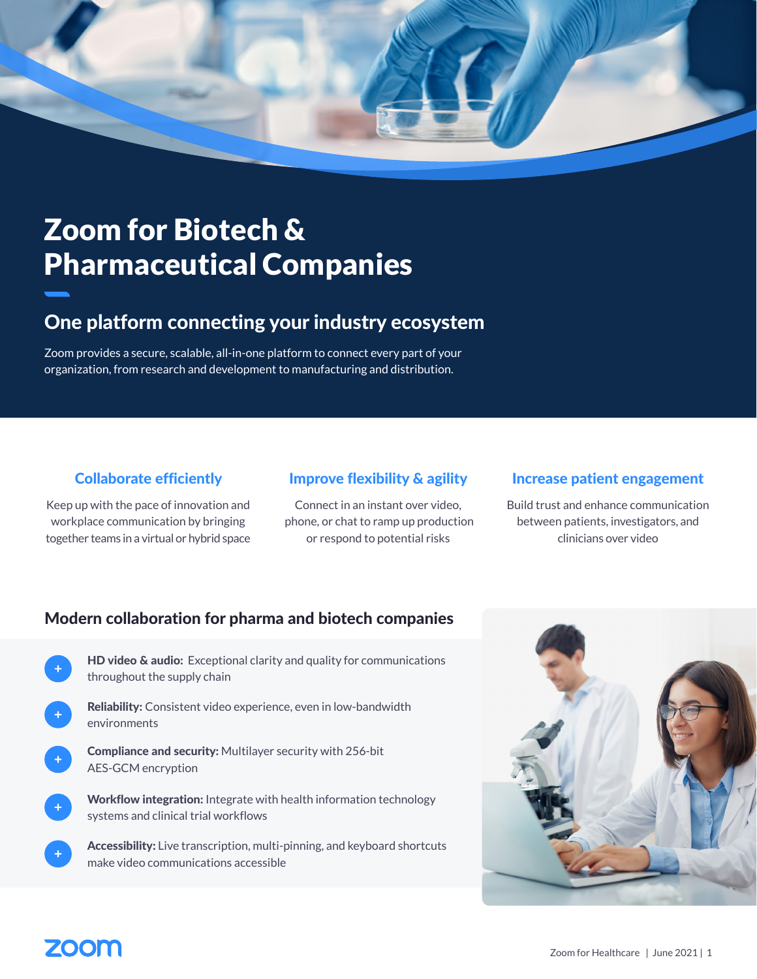

## Zoom for Biotech & Pharmaceutical Companies

## One platform connecting your industry ecosystem

Zoom provides a secure, scalable, all-in-one platform to connect every part of your organization, from research and development to manufacturing and distribution.

### Collaborate efficiently

Keep up with the pace of innovation and workplace communication by bringing together teams in a virtual or hybrid space

### Improve flexibility & agility

Connect in an instant over video, phone, or chat to ramp up production or respond to potential risks

### Increase patient engagement

Build trust and enhance communication between patients, investigators, and clinicians over video

### Modern collaboration for pharma and biotech companies

- HD video & audio: Exceptional clarity and quality for communications throughout the supply chain
- Reliability: Consistent video experience, even in low-bandwidth environments
	- Compliance and security: Multilayer security with 256-bit AES-GCM encryption
	- Workflow integration: Integrate with health information technology systems and clinical trial workflows
	- Accessibility: Live transcription, multi-pinning, and keyboard shortcuts make video communications accessible



## ZOOM